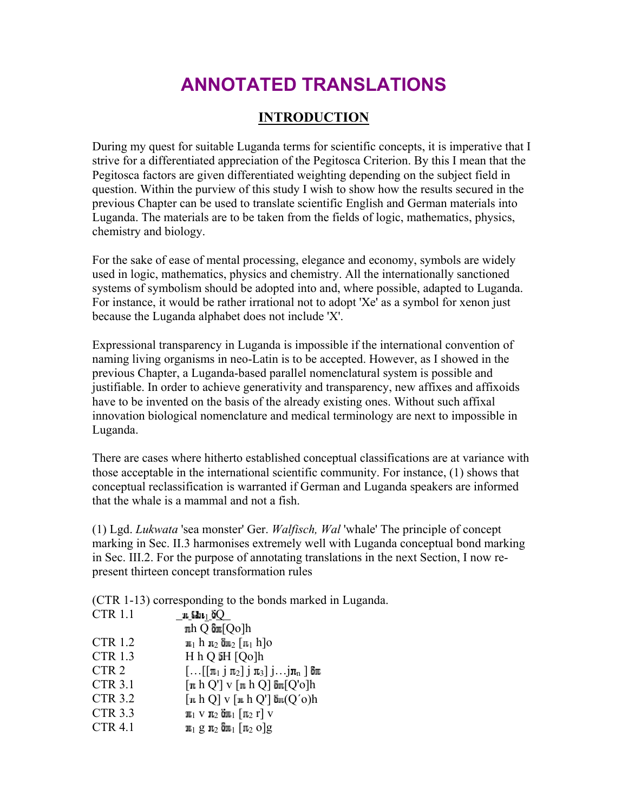## **ANNOTATED TRANSLATIONS**

## **INTRODUCTION**

During my quest for suitable Luganda terms for scientific concepts, it is imperative that I strive for a differentiated appreciation of the Pegitosca Criterion. By this I mean that the Pegitosca factors are given differentiated weighting depending on the subject field in question. Within the purview of this study I wish to show how the results secured in the previous Chapter can be used to translate scientific English and German materials into Luganda. The materials are to be taken from the fields of logic, mathematics, physics, chemistry and biology.

For the sake of ease of mental processing, elegance and economy, symbols are widely used in logic, mathematics, physics and chemistry. All the internationally sanctioned systems of symbolism should be adopted into and, where possible, adapted to Luganda. For instance, it would be rather irrational not to adopt 'Xe' as a symbol for xenon just because the Luganda alphabet does not include 'X'.

Expressional transparency in Luganda is impossible if the international convention of naming living organisms in neo-Latin is to be accepted. However, as I showed in the previous Chapter, a Luganda-based parallel nomenclatural system is possible and justifiable. In order to achieve generativity and transparency, new affixes and affixoids have to be invented on the basis of the already existing ones. Without such affixal innovation biological nomenclature and medical terminology are next to impossible in Luganda.

There are cases where hitherto established conceptual classifications are at variance with those acceptable in the international scientific community. For instance, (1) shows that conceptual reclassification is warranted if German and Luganda speakers are informed that the whale is a mammal and not a fish.

(1) Lgd. *Lukwata* 'sea monster' Ger. *Walfisch, Wal* 'whale' The principle of concept marking in Sec. II.3 harmonises extremely well with Luganda conceptual bond marking in Sec. III.2. For the purpose of annotating translations in the next Section, I now represent thirteen concept transformation rules

(CTR 1-13) corresponding to the bonds marked in Luganda.

| <b>CTR 1.1</b>   | յո նեւլ ծ $\Omega_-$                                                              |
|------------------|-----------------------------------------------------------------------------------|
|                  | $\pi h Q \delta \pi [Qo] h$                                                       |
| <b>CTR 1.2</b>   | $\pi_1$ h $\pi_2$ $\delta \pi_2$ [ $\pi_1$ h]o                                    |
| <b>CTR 1.3</b>   | H h Q iH [Qo]h                                                                    |
| CTR <sub>2</sub> | $[\ldots[[\pi_1\; \;\pi_2]\; \;\pi_3\; \;\ldots]\pi_n\;]\;$ δπ                    |
| <b>CTR 3.1</b>   | $\lceil \pi h Q' \rceil$ v $\lceil \pi h Q \rceil$ $\delta \pi [Q' \circ ]h$      |
| <b>CTR 3.2</b>   | $\lceil n \, h \, Q \rceil$ v $\lceil n \, h \, Q' \rceil$ $\delta n(Q' \circ) h$ |
| <b>CTR 3.3</b>   | $\pi_1$ V $\pi_2$ on $\pi_1$ $\pi_2$ r $\vee$                                     |
| <b>CTR 4.1</b>   | $\pi_1$ g $\pi_2$ $\delta \pi_1$ $\pi_2$ $o$ g                                    |
|                  |                                                                                   |